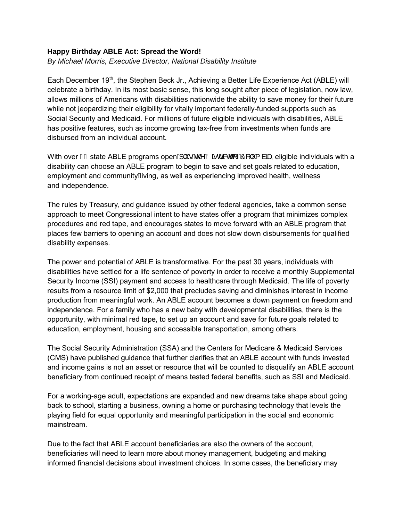## **Happy Birthday ABLE Act: Spread the Word!**

*By Michael Morris, Executive Director, National Disability Institute*

Each December 19<sup>th</sup>, the Stephen Beck Jr., Achieving a Better Life Experience Act (ABLE) will celebrate a birthday. In its most basic sense, this long sought after piece of legislation, now law, allows millions of Americans with disabilities nationwide the ability to save money for their future while not jeopardizing their eligibility for vitally important federally-funded supports such as Social Security and Medicaid. For millions of future eligible individuals with disabilities, ABLE has positive features, such as income growing tax-free from investments when funds are disbursed from an individual account.

With over  $I \in \mathsf{state}$  ABLE programs open $\mathsf{A} \upharpoonright \mathsf{A} \otimes \mathsf{A} \otimes \mathsf{A}$   $\mathsf{A} \otimes \mathsf{A}$   $\mathsf{A} \circ \mathsf{A}$  are eligible individuals with a disability can choose an ABLE program to begin to save and set goals related to education, employment and community A ving, as well as experiencing improved health, wellness and independence.

The rules by Treasury, and guidance issued by other federal agencies, take a common sense approach to meet Congressional intent to have states offer a program that minimizes complex procedures and red tape, and encourages states to move forward with an ABLE program that places few barriers to opening an account and does not slow down disbursements for qualified disability expenses.

The power and potential of ABLE is transformative. For the past 30 years, individuals with disabilities have settled for a life sentence of poverty in order to receive a monthly Supplemental Security Income (SSI) payment and access to healthcare through Medicaid. The life of poverty results from a resource limit of \$2,000 that precludes saving and diminishes interest in income production from meaningful work. An ABLE account becomes a down payment on freedom and independence. For a family who has a new baby with developmental disabilities, there is the opportunity, with minimal red tape, to set up an account and save for future goals related to education, employment, housing and accessible transportation, among others.

The Social Security Administration (SSA) and the Centers for Medicare & Medicaid Services (CMS) have published guidance that further clarifies that an ABLE account with funds invested and income gains is not an asset or resource that will be counted to disqualify an ABLE account beneficiary from continued receipt of means tested federal benefits, such as SSI and Medicaid.

For a working-age adult, expectations are expanded and new dreams take shape about going back to school, starting a business, owning a home or purchasing technology that levels the playing field for equal opportunity and meaningful participation in the social and economic mainstream.

Due to the fact that ABLE account beneficiaries are also the owners of the account, beneficiaries will need to learn more about money management, budgeting and making informed financial decisions about investment choices. In some cases, the beneficiary may